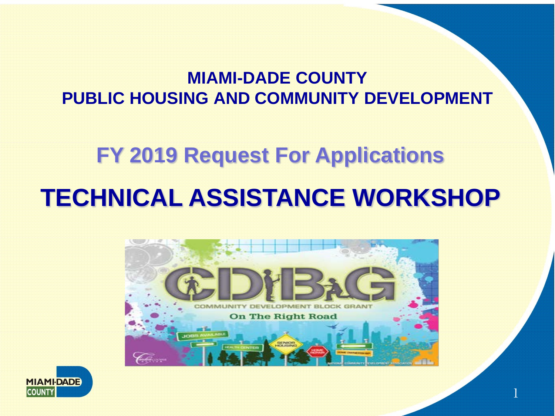#### **MIAMI-DADE COUNTY PUBLIC HOUSING AND COMMUNITY DEVELOPMENT**

# **FY 2019 Request For Applications TECHNICAL ASSISTANCE WORKSHOP**



1

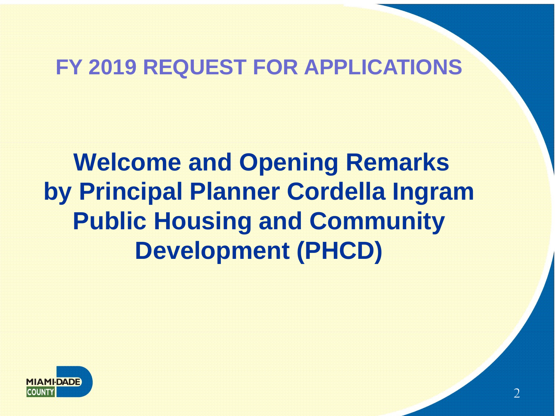#### **FY 2019 REQUEST FOR APPLICATIONS**

**Welcome and Opening Remarks by Principal Planner Cordella Ingram Public Housing and Community Development (PHCD)**

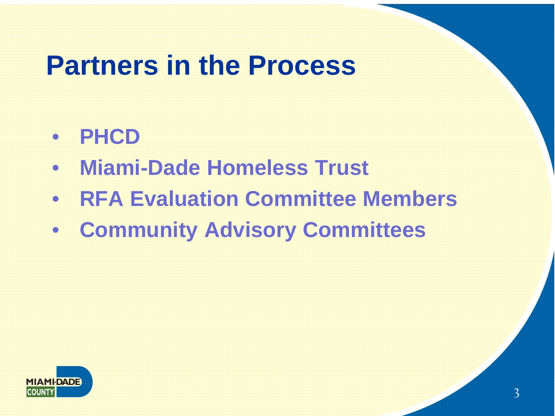#### **Partners in the Process**

- **PHCD**
- **Miami-Dade Homeless Trust**
- **RFA Evaluation Committee Members**
- **Community Advisory Committees**

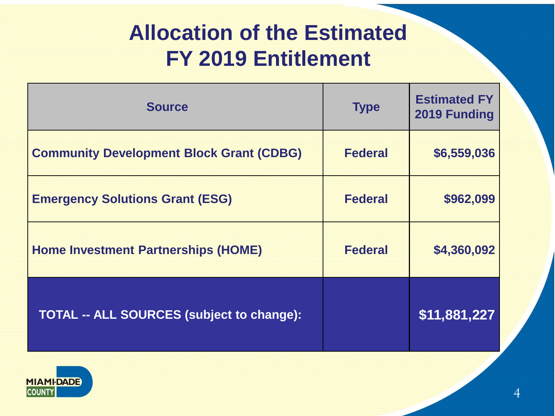#### **Allocation of the Estimated FY 2019 Entitlement**

| <b>Source</b>                                    | <b>Type</b>    | <b>Estimated FY</b><br>2019 Funding |
|--------------------------------------------------|----------------|-------------------------------------|
| <b>Community Development Block Grant (CDBG)</b>  | <b>Federal</b> | \$6,559,036                         |
| <b>Emergency Solutions Grant (ESG)</b>           | <b>Federal</b> | \$962,099                           |
| <b>Home Investment Partnerships (HOME)</b>       | <b>Federal</b> | \$4,360,092                         |
| <b>TOTAL -- ALL SOURCES (subject to change):</b> |                | \$11,881,227                        |

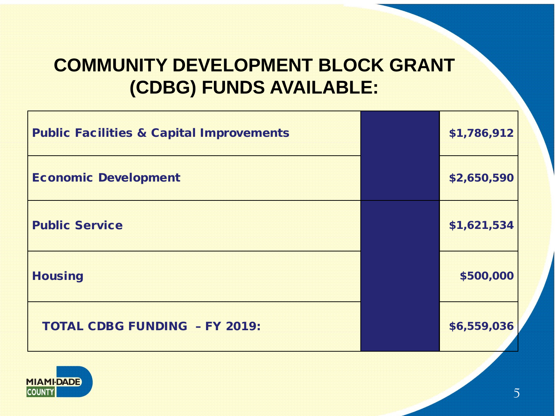#### **COMMUNITY DEVELOPMENT BLOCK GRANT (CDBG) FUNDS AVAILABLE:**

| <b>Public Facilities &amp; Capital Improvements</b> | \$1,786,912 |
|-----------------------------------------------------|-------------|
| <b>Economic Development</b>                         | \$2,650,590 |
| <b>Public Service</b>                               | \$1,621,534 |
| <b>Housing</b>                                      | \$500,000   |
| <b>TOTAL CDBG FUNDING - FY 2019:</b>                | \$6,559,036 |

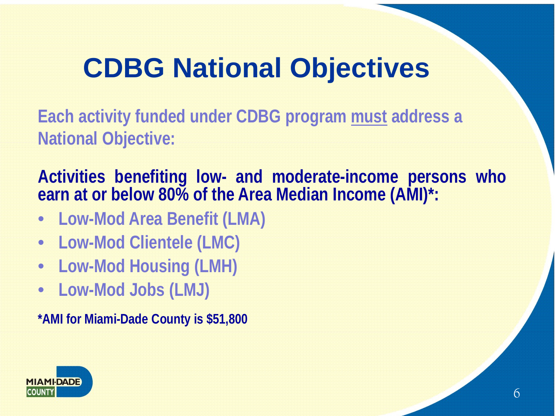### **CDBG National Objectives**

**Each activity funded under CDBG program must address a National Objective:**

**Activities benefiting low- and moderate-income persons who earn at or below 80% of the Area Median Income (AMI)\*:**

- **Low-Mod Area Benefit (LMA)**
- **Low-Mod Clientele (LMC)**
- **Low-Mod Housing (LMH)**
- **Low-Mod Jobs (LMJ)**

**\*AMI for Miami-Dade County is \$51,800**

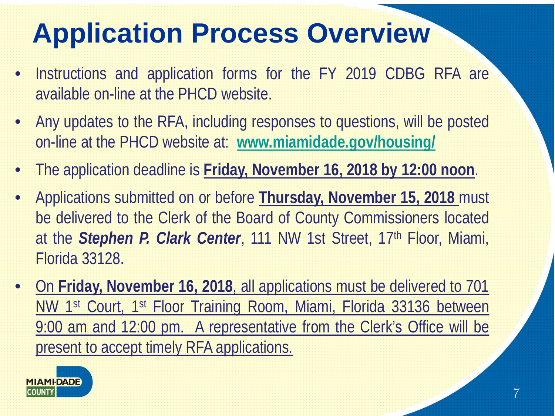- Instructions and application forms for the FY 2019 CDBG RFA are available on-line at the PHCD website.
- Any updates to the RFA, including responses to questions, will be posted on-line at the PHCD website at: **[www.miamidade.gov/housing/](http://www.miamidade.gov/housing/)**
- The application deadline is **Friday, November 16, 2018 by 12:00 noon**.
- Applications submitted on or before **Thursday, November 15, 2018** must be delivered to the Clerk of the Board of County Commissioners located at the *Stephen P. Clark Center*, 111 NW 1st Street, 17th Floor, Miami, Florida 33128.
- On **Friday, November 16, 2018**, all applications must be delivered to 701 NW 1<sup>st</sup> Court, 1<sup>st</sup> Floor Training Room, Miami, Florida 33136 between 9:00 am and 12:00 pm. A representative from the Clerk's Office will be present to accept timely RFA applications.

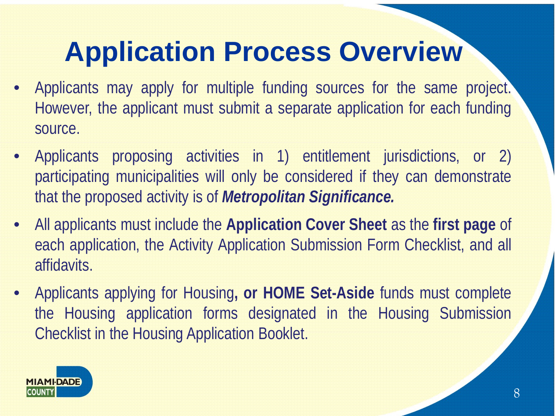- Applicants may apply for multiple funding sources for the same project. However, the applicant must submit a separate application for each funding source.
- Applicants proposing activities in 1) entitlement jurisdictions, or 2) participating municipalities will only be considered if they can demonstrate that the proposed activity is of *Metropolitan Significance.*
- All applicants must include the **Application Cover Sheet** as the **first page** of each application, the Activity Application Submission Form Checklist, and all affidavits.
- Applicants applying for Housing**, or HOME Set-Aside** funds must complete the Housing application forms designated in the Housing Submission Checklist in the Housing Application Booklet.

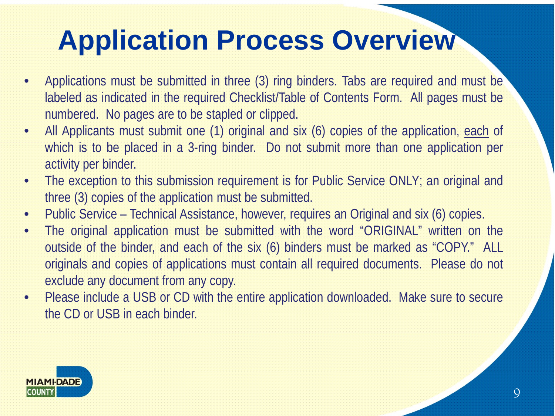- Applications must be submitted in three (3) ring binders. Tabs are required and must be labeled as indicated in the required Checklist/Table of Contents Form. All pages must be numbered. No pages are to be stapled or clipped.
- All Applicants must submit one (1) original and six (6) copies of the application, each of which is to be placed in a 3-ring binder. Do not submit more than one application per activity per binder.
- The exception to this submission requirement is for Public Service ONLY; an original and three (3) copies of the application must be submitted.
- Public Service Technical Assistance, however, requires an Original and six (6) copies.
- The original application must be submitted with the word "ORIGINAL" written on the outside of the binder, and each of the six (6) binders must be marked as "COPY." ALL originals and copies of applications must contain all required documents. Please do not exclude any document from any copy.
- Please include a USB or CD with the entire application downloaded. Make sure to secure the CD or USB in each binder.

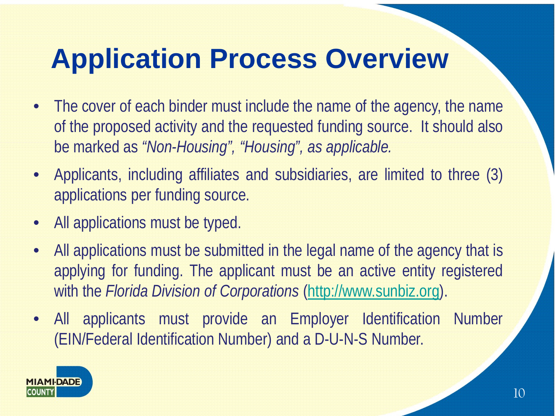- The cover of each binder must include the name of the agency, the name of the proposed activity and the requested funding source. It should also be marked as *"Non-Housing", "Housing", as applicable.*
- Applicants, including affiliates and subsidiaries, are limited to three (3) applications per funding source.
- All applications must be typed.
- All applications must be submitted in the legal name of the agency that is applying for funding. The applicant must be an active entity registered with the *Florida Division of Corporations* [\(http://www.sunbiz.org](http://www.sunbiz.org/)).
- All applicants must provide an Employer Identification Number (EIN/Federal Identification Number) and a D-U-N-S Number.

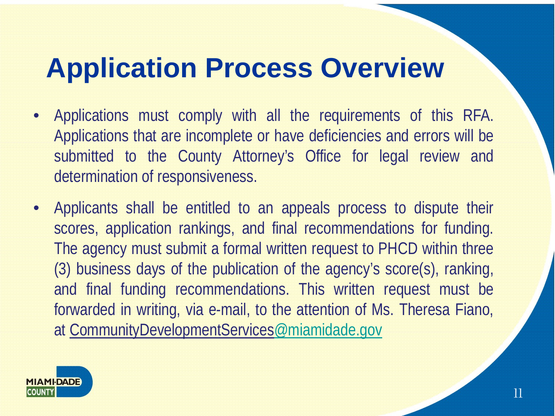- Applications must comply with all the requirements of this RFA. Applications that are incomplete or have deficiencies and errors will be submitted to the County Attorney's Office for legal review and determination of responsiveness.
- Applicants shall be entitled to an appeals process to dispute their scores, application rankings, and final recommendations for funding. The agency must submit a formal written request to PHCD within three (3) business days of the publication of the agency's score(s), ranking, and final funding recommendations. This written request must be forwarded in writing, via e-mail, to the attention of Ms. Theresa Fiano, at CommunityDevelopmentServices[@miamidade.gov](mailto:PHCDResidentServices@miamidade.gov)

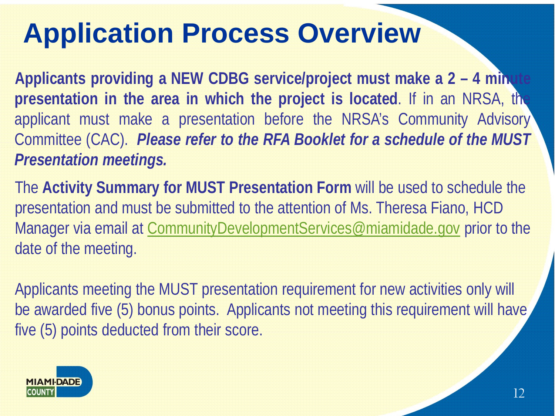**Applicants providing a NEW CDBG service/project must make a 2 – 4 minute presentation in the area in which the project is located**. If in an NRSA, the applicant must make a presentation before the NRSA's Community Advisory Committee (CAC). *Please refer to the RFA Booklet for a schedule of the MUST Presentation meetings.*

The **Activity Summary for MUST Presentation Form** will be used to schedule the presentation and must be submitted to the attention of Ms. Theresa Fiano, HCD Manager via email at CommunityDevelopmentServices@miamidade.gov prior to the date of the meeting.

Applicants meeting the MUST presentation requirement for new activities only will be awarded five (5) bonus points. Applicants not meeting this requirement will have five (5) points deducted from their score.

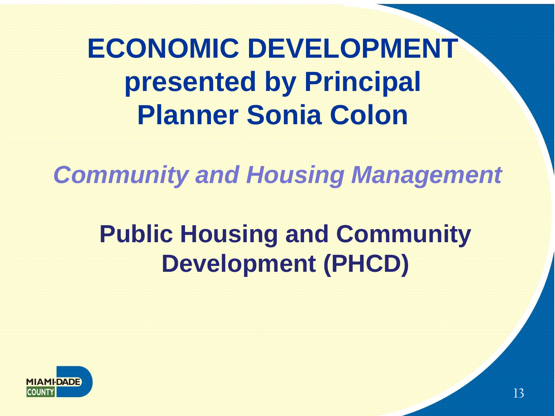# **ECONOMIC DEVELOPMENT presented by Principal Planner Sonia Colon**

*Community and Housing Management* 

#### **Public Housing and Community Development (PHCD)**

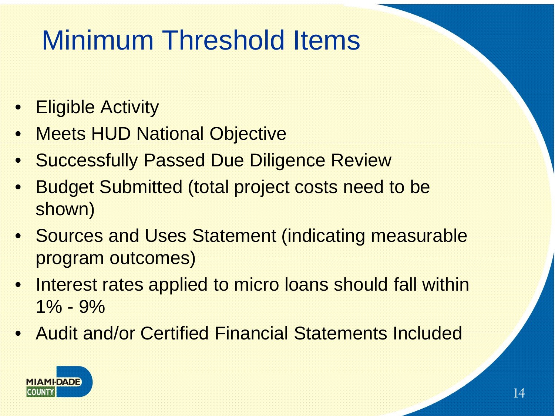# Minimum Threshold Items

- Eligible Activity
- **Meets HUD National Objective**
- **Successfully Passed Due Diligence Review**
- **Budget Submitted (total project costs need to be** shown)
- Sources and Uses Statement (indicating measurable program outcomes)
- Interest rates applied to micro loans should fall within  $1\% - 9\%$
- Audit and/or Certified Financial Statements Included

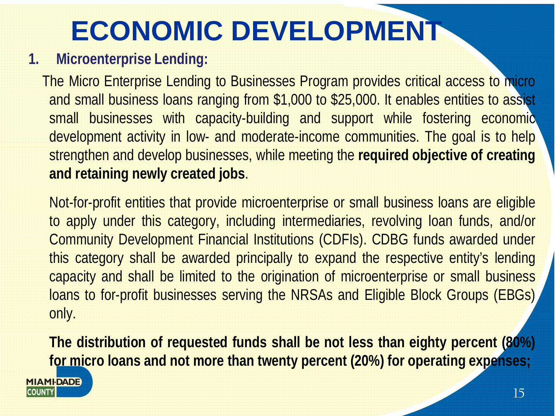# **ECONOMIC DEVELOPMENT**

#### **1. Microenterprise Lending:**

The Micro Enterprise Lending to Businesses Program provides critical access to micro and small business loans ranging from \$1,000 to \$25,000. It enables entities to assist small businesses with capacity-building and support while fostering economic development activity in low- and moderate-income communities. The goal is to help strengthen and develop businesses, while meeting the **required objective of creating and retaining newly created jobs**.

Not-for-profit entities that provide microenterprise or small business loans are eligible to apply under this category, including intermediaries, revolving loan funds, and/or Community Development Financial Institutions (CDFIs). CDBG funds awarded under this category shall be awarded principally to expand the respective entity's lending capacity and shall be limited to the origination of microenterprise or small business loans to for-profit businesses serving the NRSAs and Eligible Block Groups (EBGs) only.

**The distribution of requested funds shall be not less than eighty percent (80%) for micro loans and not more than twenty percent (20%) for operating expenses;**

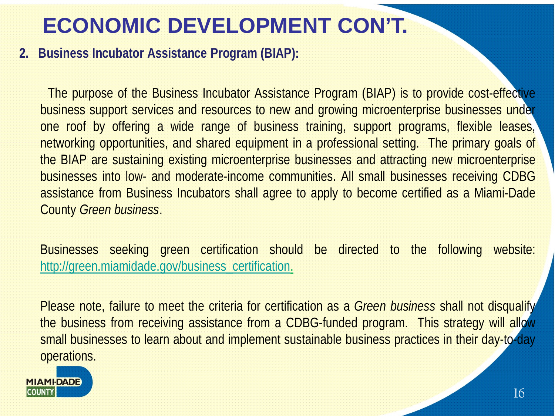#### **ECONOMIC DEVELOPMENT CON'T.**

**2. Business Incubator Assistance Program (BIAP):** 

The purpose of the Business Incubator Assistance Program (BIAP) is to provide cost-effective business support services and resources to new and growing microenterprise businesses under one roof by offering a wide range of business training, support programs, flexible leases, networking opportunities, and shared equipment in a professional setting. The primary goals of the BIAP are sustaining existing microenterprise businesses and attracting new microenterprise businesses into low- and moderate-income communities. All small businesses receiving CDBG assistance from Business Incubators shall agree to apply to become certified as a Miami-Dade County *Green business*.

Businesses seeking green certification should be directed to the following website: [http://green.miamidade.gov/business\\_certification.](http://green.miamidade.gov/business_certification)

Please note, failure to meet the criteria for certification as a *Green business* shall not disqualify the business from receiving assistance from a CDBG-funded program. This strategy will allow small businesses to learn about and implement sustainable business practices in their day-to-day operations.

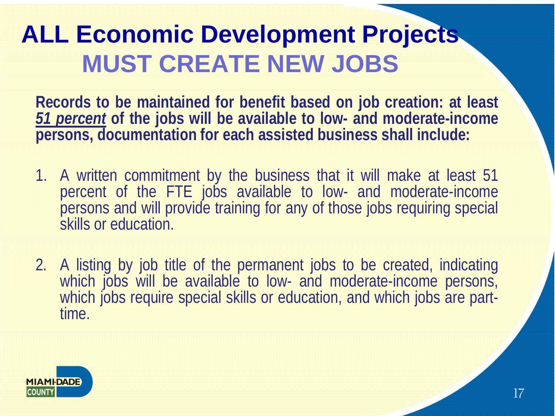#### **ALL Economic Development Projects MUST CREATE NEW JOBS**

**Records to be maintained for benefit based on job creation: at least** *51 percent* **of the jobs will be available to low- and moderate-income persons, documentation for each assisted business shall include:**

- 1. A written commitment by the business that it will make at least 51 percent of the FTE jobs available to low- and moderate-income persons and will provide training for any of those jobs requiring special skills or education.
- 2. A listing by job title of the permanent jobs to be created, indicating which jobs will be available to low- and moderate-income persons, which jobs require special skills or education, and which jobs are part-<br>time.

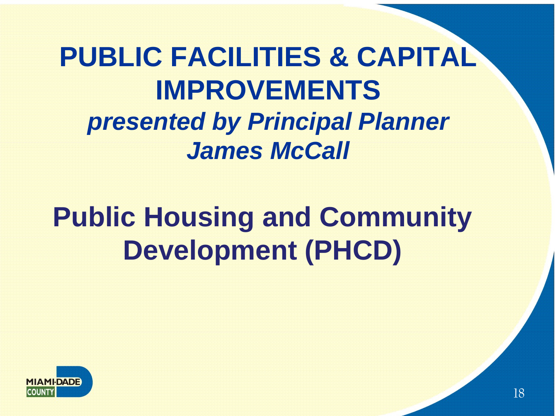### **PUBLIC FACILITIES & CAPITAL IMPROVEMENTS**  *presented by Principal Planner James McCall*

# **Public Housing and Community Development (PHCD)**

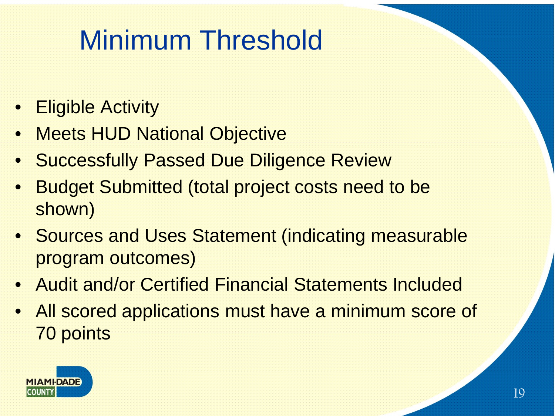# Minimum Threshold

- Eligible Activity
- **Meets HUD National Objective**
- **Successfully Passed Due Diligence Review**
- **Budget Submitted (total project costs need to be** shown)
- Sources and Uses Statement (indicating measurable program outcomes)
- Audit and/or Certified Financial Statements Included
- All scored applications must have a minimum score of 70 points

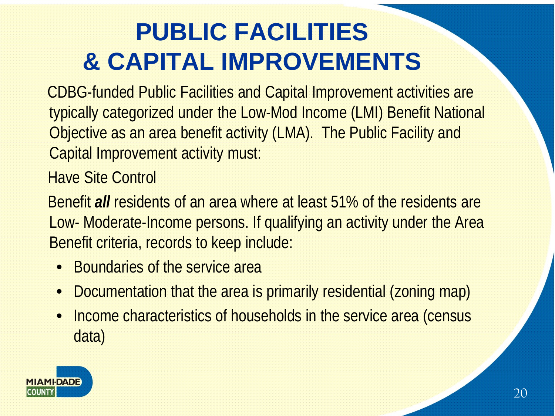### **PUBLIC FACILITIES & CAPITAL IMPROVEMENTS**

CDBG-funded Public Facilities and Capital Improvement activities are typically categorized under the Low-Mod Income (LMI) Benefit National Objective as an area benefit activity (LMA). The Public Facility and Capital Improvement activity must:

Have Site Control

Benefit *all* residents of an area where at least 51% of the residents are Low- Moderate-Income persons. If qualifying an activity under the Area Benefit criteria, records to keep include:

- Boundaries of the service area
- Documentation that the area is primarily residential (zoning map)
- Income characteristics of households in the service area (census data)

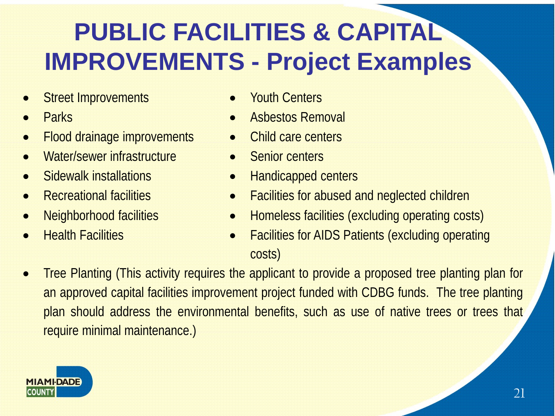### **PUBLIC FACILITIES & CAPITAL IMPROVEMENTS - Project Examples**

- **Street Improvements Youth Centers**
- 
- Flood drainage improvements Child care centers
- Water/sewer infrastructure Senior centers
- 
- 
- 
- 
- 
- **Parks Asbestos Removal** 
	-
	-
- Sidewalk installations Handicapped centers
- **Recreational facilities Facilities for abused and neglected children**
- Neighborhood facilities Homeless facilities (excluding operating costs)
	- Health Facilities Facilities for AIDS Patients (excluding operating costs)
- Tree Planting (This activity requires the applicant to provide a proposed tree planting plan for an approved capital facilities improvement project funded with CDBG funds. The tree planting plan should address the environmental benefits, such as use of native trees or trees that require minimal maintenance.)

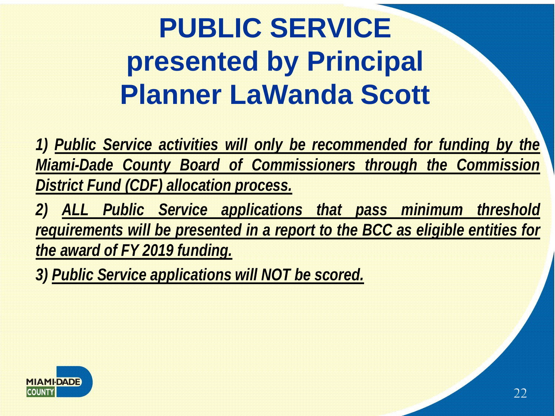# **PUBLIC SERVICE presented by Principal Planner LaWanda Scott**

*1) Public Service activities will only be recommended for funding by the Miami-Dade County Board of Commissioners through the Commission District Fund (CDF) allocation process.*

*2) ALL Public Service applications that pass minimum threshold requirements will be presented in a report to the BCC as eligible entities for the award of FY 2019 funding.*

*3) Public Service applications will NOT be scored.*

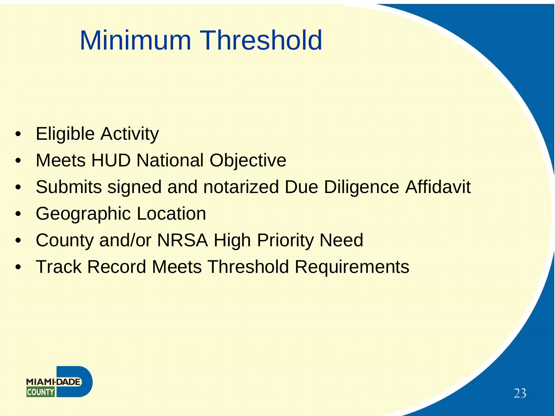## Minimum Threshold

- **Eligible Activity**
- **Meets HUD National Objective**
- Submits signed and notarized Due Diligence Affidavit
- **Geographic Location**
- County and/or NRSA High Priority Need
- Track Record Meets Threshold Requirements

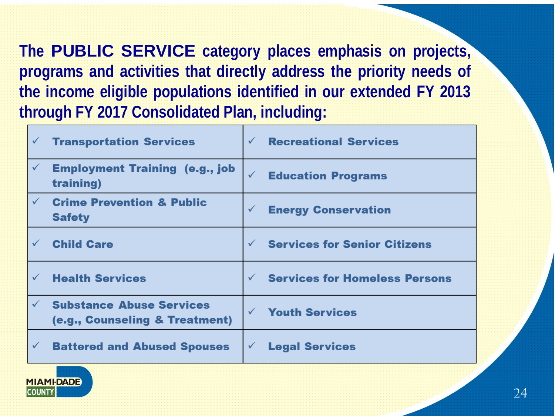**The PUBLIC SERVICE category places emphasis on projects, programs and activities that directly address the priority needs of the income eligible populations identified in our extended FY 2013 through FY 2017 Consolidated Plan, including:**

| $\checkmark$ | <b>Transportation Services</b>                                    | $\checkmark$ | <b>Recreational Services</b>         |
|--------------|-------------------------------------------------------------------|--------------|--------------------------------------|
| $\checkmark$ | <b>Employment Training (e.g., job</b><br>training)                | $\checkmark$ | <b>Education Programs</b>            |
| $\checkmark$ | <b>Crime Prevention &amp; Public</b><br><b>Safety</b>             | $\checkmark$ | <b>Energy Conservation</b>           |
| $\checkmark$ | <b>Child Care</b>                                                 | $\checkmark$ | <b>Services for Senior Citizens</b>  |
| $\checkmark$ | <b>Health Services</b>                                            | $\checkmark$ | <b>Services for Homeless Persons</b> |
| $\checkmark$ | <b>Substance Abuse Services</b><br>(e.g., Counseling & Treatment) | $\checkmark$ | <b>Youth Services</b>                |
| $\checkmark$ | <b>Battered and Abused Spouses</b>                                | $\checkmark$ | <b>Legal Services</b>                |

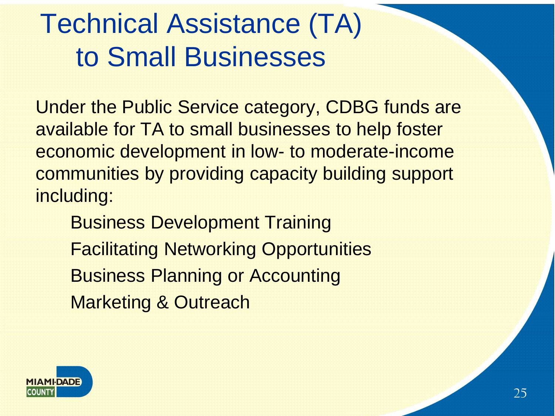## Technical Assistance (TA) to Small Businesses

Under the Public Service category, CDBG funds are available for TA to small businesses to help foster economic development in low- to moderate-income communities by providing capacity building support including:

Business Development Training Facilitating Networking Opportunities Business Planning or Accounting Marketing & Outreach

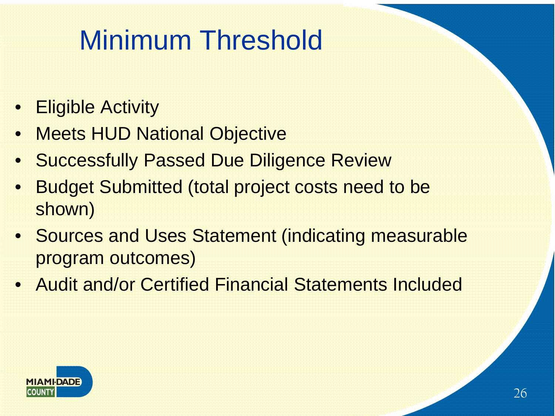# Minimum Threshold

- Eligible Activity
- **Meets HUD National Objective**
- **Successfully Passed Due Diligence Review**
- Budget Submitted (total project costs need to be shown)
- Sources and Uses Statement (indicating measurable program outcomes)
- Audit and/or Certified Financial Statements Included

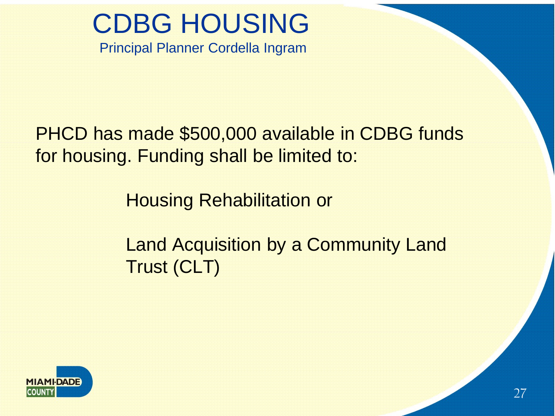## CDBG HOUSING

Principal Planner Cordella Ingram

PHCD has made \$500,000 available in CDBG funds for housing. Funding shall be limited to:

Housing Rehabilitation or

Land Acquisition by a Community Land Trust (CLT)

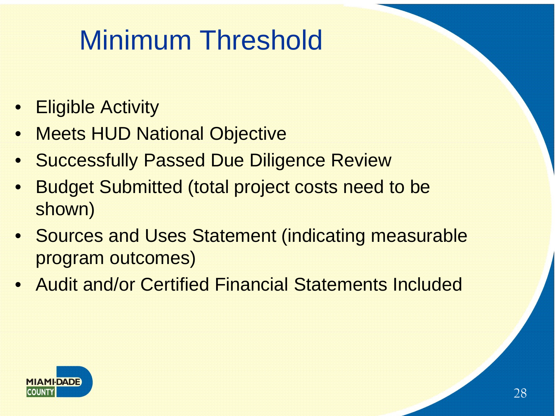# Minimum Threshold

- Eligible Activity
- **Meets HUD National Objective**
- **Successfully Passed Due Diligence Review**
- Budget Submitted (total project costs need to be shown)
- Sources and Uses Statement (indicating measurable program outcomes)
- Audit and/or Certified Financial Statements Included

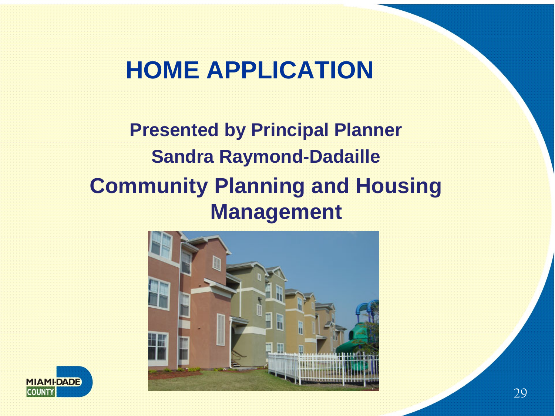#### **HOME APPLICATION**

#### **Presented by Principal Planner Sandra Raymond-Dadaille Community Planning and Housing Management**



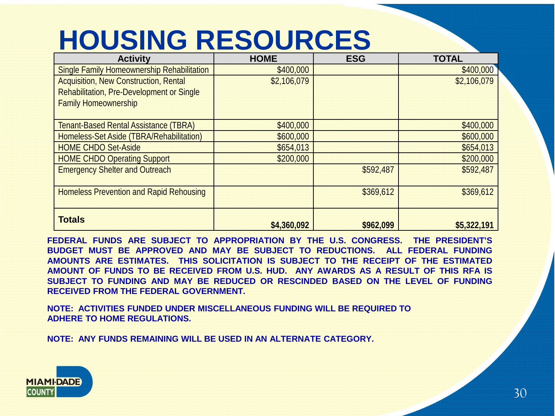### **HOUSING RESOURCES**

| <b>Activity</b>                                   | <b>HOME</b> | <b>ESG</b> | <b>TOTAL</b> |
|---------------------------------------------------|-------------|------------|--------------|
| <b>Single Family Homeownership Rehabilitation</b> | \$400,000   |            | \$400,000    |
| <b>Acquisition, New Construction, Rental</b>      | \$2,106,079 |            | \$2,106,079  |
| Rehabilitation, Pre-Development or Single         |             |            |              |
| <b>Family Homeownership</b>                       |             |            |              |
|                                                   |             |            |              |
| <b>Tenant-Based Rental Assistance (TBRA)</b>      | \$400,000   |            | \$400,000    |
| Homeless-Set Aside (TBRA/Rehabilitation)          | \$600,000   |            | \$600,000    |
| <b>HOME CHDO Set-Aside</b>                        | \$654,013   |            | \$654,013    |
| <b>HOME CHDO Operating Support</b>                | \$200,000   |            | \$200,000    |
| <b>Emergency Shelter and Outreach</b>             |             | \$592,487  | \$592,487    |
|                                                   |             |            |              |
| <b>Homeless Prevention and Rapid Rehousing</b>    |             | \$369,612  | \$369,612    |
|                                                   |             |            |              |
| <b>Totals</b>                                     |             |            |              |
|                                                   | \$4,360,092 | \$962,099  | \$5,322,191  |

**FEDERAL FUNDS ARE SUBJECT TO APPROPRIATION BY THE U.S. CONGRESS. THE PRESIDENT'S BUDGET MUST BE APPROVED AND MAY BE SUBJECT TO REDUCTIONS. ALL FEDERAL FUNDING AMOUNTS ARE ESTIMATES. THIS SOLICITATION IS SUBJECT TO THE RECEIPT OF THE ESTIMATED AMOUNT OF FUNDS TO BE RECEIVED FROM U.S. HUD. ANY AWARDS AS A RESULT OF THIS RFA IS SUBJECT TO FUNDING AND MAY BE REDUCED OR RESCINDED BASED ON THE LEVEL OF FUNDING RECEIVED FROM THE FEDERAL GOVERNMENT.**

**NOTE: ACTIVITIES FUNDED UNDER MISCELLANEOUS FUNDING WILL BE REQUIRED TO ADHERE TO HOME REGULATIONS.**

**NOTE: ANY FUNDS REMAINING WILL BE USED IN AN ALTERNATE CATEGORY.**

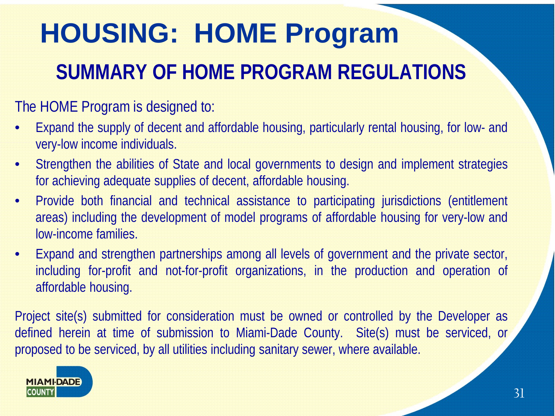# **HOUSING: HOME Program SUMMARY OF HOME PROGRAM REGULATIONS**

#### The HOME Program is designed to:

- Expand the supply of decent and affordable housing, particularly rental housing, for low- and very-low income individuals.
- Strengthen the abilities of State and local governments to design and implement strategies for achieving adequate supplies of decent, affordable housing.
- Provide both financial and technical assistance to participating jurisdictions (entitlement areas) including the development of model programs of affordable housing for very-low and low-income families.
- Expand and strengthen partnerships among all levels of government and the private sector, including for-profit and not-for-profit organizations, in the production and operation of affordable housing.

Project site(s) submitted for consideration must be owned or controlled by the Developer as defined herein at time of submission to Miami-Dade County. Site(s) must be serviced, or proposed to be serviced, by all utilities including sanitary sewer, where available.

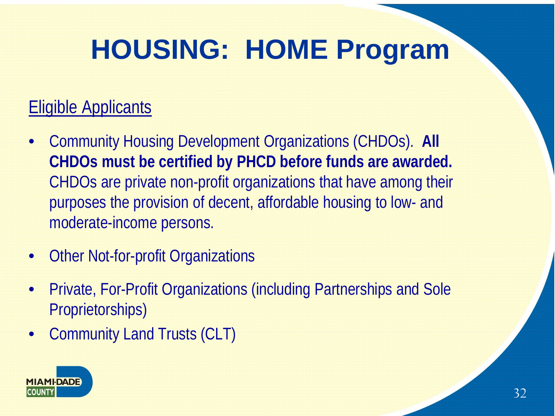#### Eligible Applicants

- Community Housing Development Organizations (CHDOs). **All CHDOs must be certified by PHCD before funds are awarded.** CHDOs are private non-profit organizations that have among their purposes the provision of decent, affordable housing to low- and moderate-income persons.
- **Other Not-for-profit Organizations**
- Private, For-Profit Organizations (including Partnerships and Sole Proprietorships)
- Community Land Trusts (CLT)

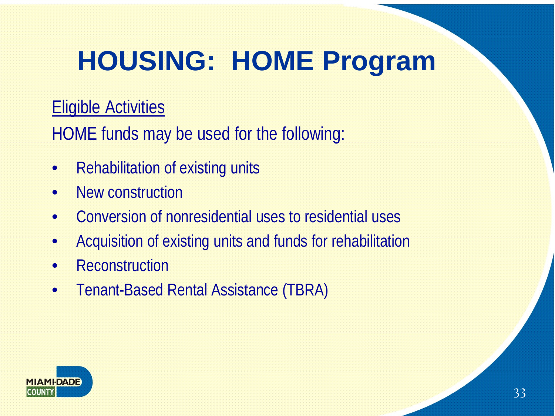#### Eligible Activities

HOME funds may be used for the following:

- Rehabilitation of existing units
- New construction
- Conversion of nonresidential uses to residential uses
- Acquisition of existing units and funds for rehabilitation
- Reconstruction
- Tenant-Based Rental Assistance (TBRA)

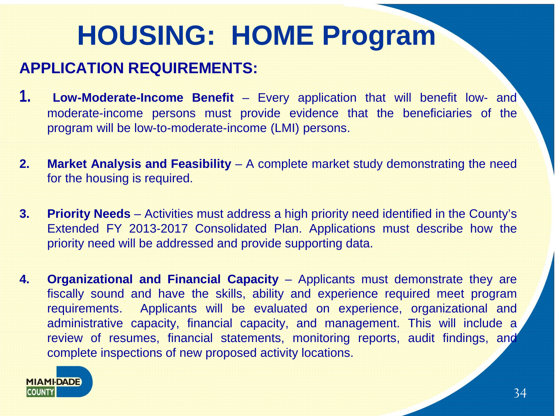#### **APPLICATION REQUIREMENTS:**

- **1. Low-Moderate-Income Benefit** Every application that will benefit low- and moderate-income persons must provide evidence that the beneficiaries of the program will be low-to-moderate-income (LMI) persons.
- **2. Market Analysis and Feasibility** A complete market study demonstrating the need for the housing is required.
- **3. Priority Needs** Activities must address a high priority need identified in the County's Extended FY 2013-2017 Consolidated Plan. Applications must describe how the priority need will be addressed and provide supporting data.
- **4. Organizational and Financial Capacity** Applicants must demonstrate they are fiscally sound and have the skills, ability and experience required meet program requirements. Applicants will be evaluated on experience, organizational and administrative capacity, financial capacity, and management. This will include a review of resumes, financial statements, monitoring reports, audit findings, and complete inspections of new proposed activity locations.

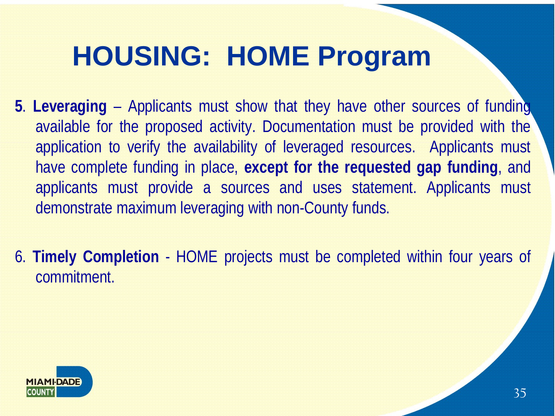- **5**. **Leveraging** Applicants must show that they have other sources of funding available for the proposed activity. Documentation must be provided with the application to verify the availability of leveraged resources. Applicants must have complete funding in place, **except for the requested gap funding**, and applicants must provide a sources and uses statement. Applicants must demonstrate maximum leveraging with non-County funds.
- 6. **Timely Completion** HOME projects must be completed within four years of commitment.

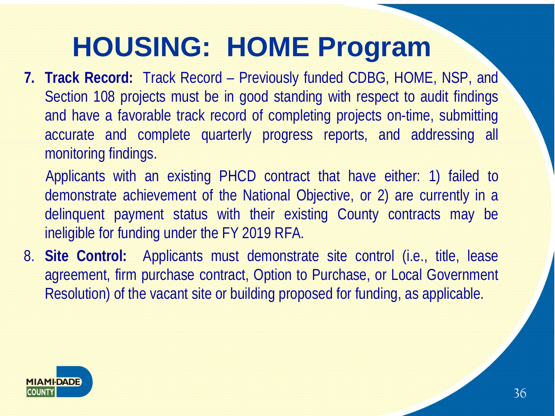**7. Track Record:** Track Record – Previously funded CDBG, HOME, NSP, and Section 108 projects must be in good standing with respect to audit findings and have a favorable track record of completing projects on-time, submitting accurate and complete quarterly progress reports, and addressing all monitoring findings.

Applicants with an existing PHCD contract that have either: 1) failed to demonstrate achievement of the National Objective, or 2) are currently in a delinquent payment status with their existing County contracts may be ineligible for funding under the FY 2019 RFA.

8. **Site Control:** Applicants must demonstrate site control (i.e., title, lease agreement, firm purchase contract, Option to Purchase, or Local Government Resolution) of the vacant site or building proposed for funding, as applicable.

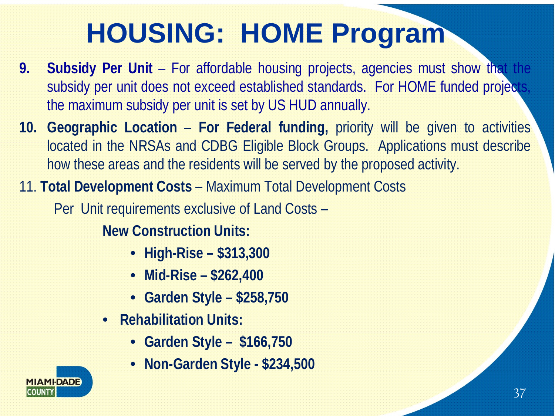- **9. Subsidy Per Unit** For affordable housing projects, agencies must show that the subsidy per unit does not exceed established standards. For HOME funded projects, the maximum subsidy per unit is set by US HUD annually.
- **10. Geographic Location For Federal funding,** priority will be given to activities located in the NRSAs and CDBG Eligible Block Groups. Applications must describe how these areas and the residents will be served by the proposed activity.
- 11. **Total Development Costs**  Maximum Total Development Costs

Per Unit requirements exclusive of Land Costs –

**New Construction Units:** 

- **High-Rise – \$313,300**
- **Mid-Rise – \$262,400**
- **Garden Style – \$258,750**
- **Rehabilitation Units:**
	- **Garden Style – \$166,750**
	- **Non-Garden Style - \$234,500**

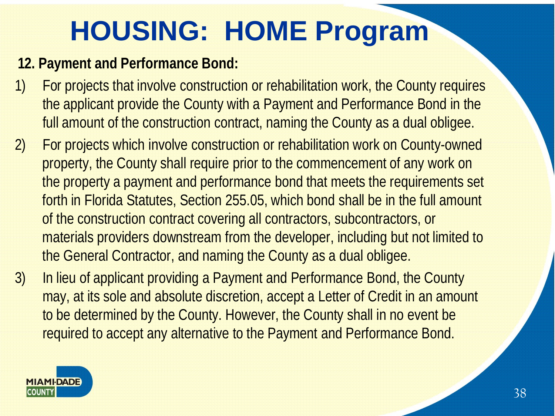#### **12. Payment and Performance Bond:**

- 1) For projects that involve construction or rehabilitation work, the County requires the applicant provide the County with a Payment and Performance Bond in the full amount of the construction contract, naming the County as a dual obligee.
- 2) For projects which involve construction or rehabilitation work on County-owned property, the County shall require prior to the commencement of any work on the property a payment and performance bond that meets the requirements set forth in Florida Statutes, Section 255.05, which bond shall be in the full amount of the construction contract covering all contractors, subcontractors, or materials providers downstream from the developer, including but not limited to the General Contractor, and naming the County as a dual obligee.
- 3) In lieu of applicant providing a Payment and Performance Bond, the County may, at its sole and absolute discretion, accept a Letter of Credit in an amount to be determined by the County. However, the County shall in no event be required to accept any alternative to the Payment and Performance Bond.

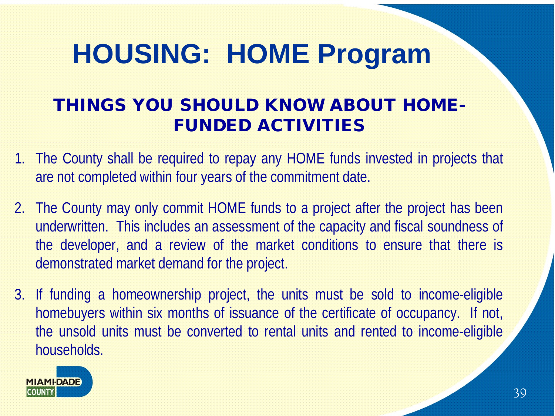#### THINGS YOU SHOULD KNOW ABOUT HOME-FUNDED ACTIVITIES

- 1. The County shall be required to repay any HOME funds invested in projects that are not completed within four years of the commitment date.
- 2. The County may only commit HOME funds to a project after the project has been underwritten. This includes an assessment of the capacity and fiscal soundness of the developer, and a review of the market conditions to ensure that there is demonstrated market demand for the project.
- 3. If funding a homeownership project, the units must be sold to income-eligible homebuyers within six months of issuance of the certificate of occupancy. If not, the unsold units must be converted to rental units and rented to income-eligible households.

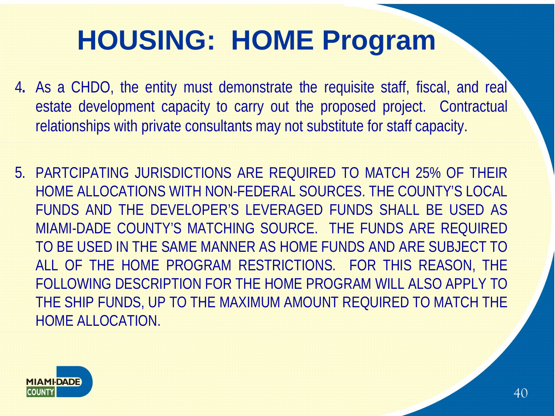- 4**.** As a CHDO, the entity must demonstrate the requisite staff, fiscal, and real estate development capacity to carry out the proposed project. Contractual relationships with private consultants may not substitute for staff capacity.
- 5. PARTCIPATING JURISDICTIONS ARE REQUIRED TO MATCH 25% OF THEIR HOME ALLOCATIONS WITH NON-FEDERAL SOURCES. THE COUNTY'S LOCAL FUNDS AND THE DEVELOPER'S LEVERAGED FUNDS SHALL BE USED AS MIAMI-DADE COUNTY'S MATCHING SOURCE. THE FUNDS ARE REQUIRED TO BE USED IN THE SAME MANNER AS HOME FUNDS AND ARE SUBJECT TO ALL OF THE HOME PROGRAM RESTRICTIONS. FOR THIS REASON, THE FOLLOWING DESCRIPTION FOR THE HOME PROGRAM WILL ALSO APPLY TO THE SHIP FUNDS, UP TO THE MAXIMUM AMOUNT REQUIRED TO MATCH THE HOME ALLOCATION.

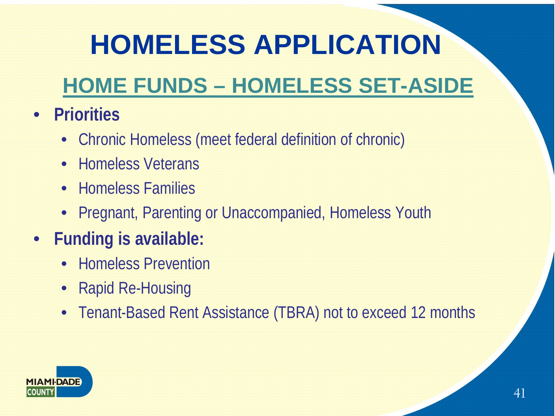# **HOMELESS APPLICATION**

#### **HOME FUNDS – HOMELESS SET-ASIDE**

- **Priorities**
	- Chronic Homeless (meet federal definition of chronic)
	- Homeless Veterans
	- Homeless Families
	- Pregnant, Parenting or Unaccompanied, Homeless Youth
- **Funding is available:**
	- Homeless Prevention
	- Rapid Re-Housing
	- Tenant-Based Rent Assistance (TBRA) not to exceed 12 months

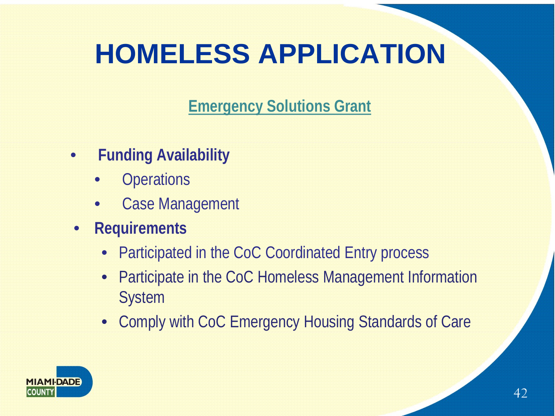## **HOMELESS APPLICATION**

**Emergency Solutions Grant**

- **Funding Availability** 
	- **Operations**
	- **Case Management**
- **Requirements**
	- Participated in the CoC Coordinated Entry process
	- Participate in the CoC Homeless Management Information System
	- Comply with CoC Emergency Housing Standards of Care

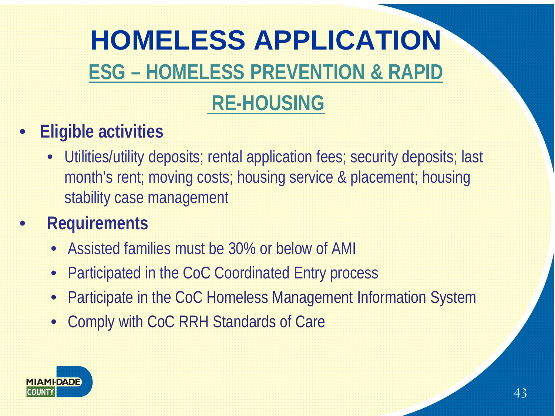# **HOMELESS APPLICATION ESG – HOMELESS PREVENTION & RAPID**

#### **RE-HOUSING**

- **Eligible activities**
	- Utilities/utility deposits; rental application fees; security deposits; last month's rent; moving costs; housing service & placement; housing stability case management
- **Requirements**
	- Assisted families must be 30% or below of AMI
	- Participated in the CoC Coordinated Entry process
	- Participate in the CoC Homeless Management Information System
	- Comply with CoC RRH Standards of Care

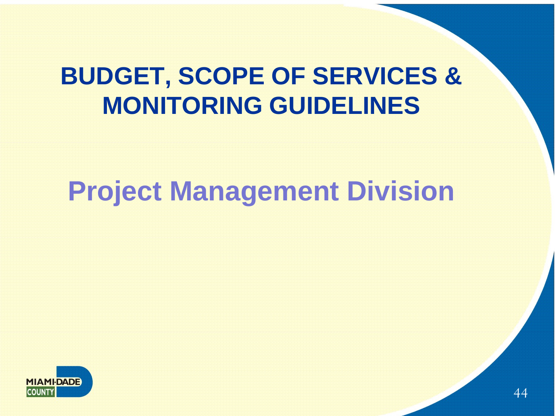#### **BUDGET, SCOPE OF SERVICES & MONITORING GUIDELINES**

#### **Project Management Division**

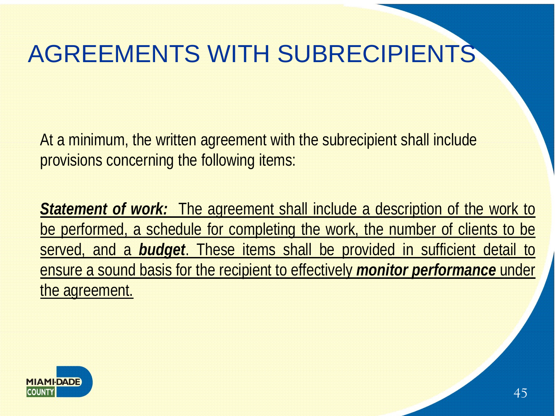#### AGREEMENTS WITH SUBRECIPIENTS

At a minimum, the written agreement with the subrecipient shall include provisions concerning the following items:

*Statement of work:* The agreement shall include a description of the work to be performed, a schedule for completing the work, the number of clients to be served, and a *budget*. These items shall be provided in sufficient detail to ensure a sound basis for the recipient to effectively *monitor performance* under the agreement.

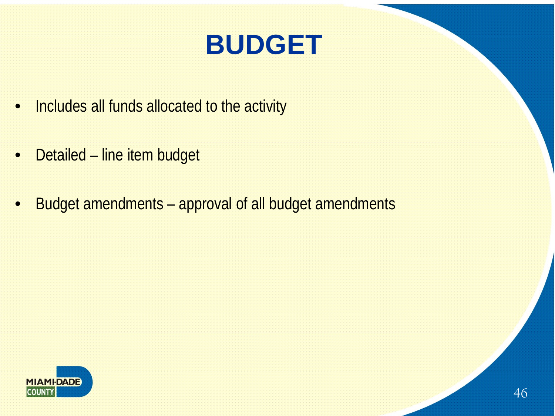### **BUDGET**

- Includes all funds allocated to the activity
- Detailed line item budget
- Budget amendments approval of all budget amendments

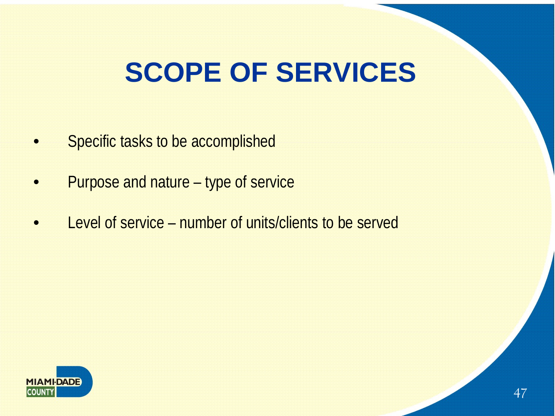### **SCOPE OF SERVICES**

- Specific tasks to be accomplished
- Purpose and nature type of service
- Level of service number of units/clients to be served

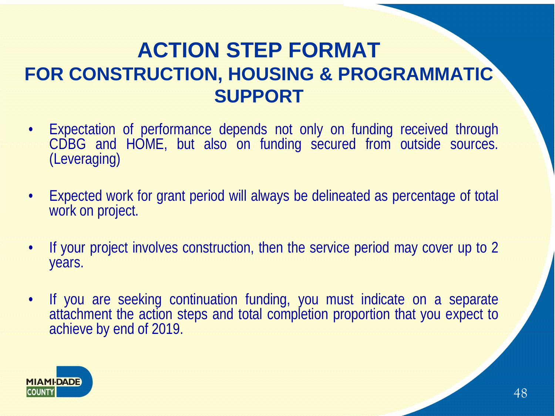#### **ACTION STEP FORMAT FOR CONSTRUCTION, HOUSING & PROGRAMMATIC SUPPORT**

- Expectation of performance depends not only on funding received through CDBG and HOME, but also on funding secured from outside sources. (Leveraging)
- Expected work for grant period will always be delineated as percentage of total work on project.
- If your project involves construction, then the service period may cover up to 2 years.
- If you are seeking continuation funding, you must indicate on a separate attachment the action steps and total completion proportion that you expect to achieve by end of 2019.

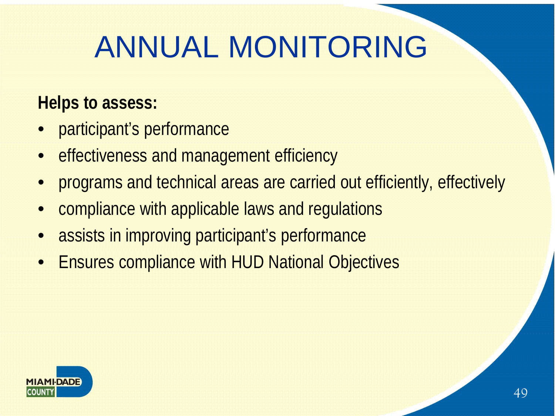# ANNUAL MONITORING

#### **Helps to assess:**

- participant's performance
- effectiveness and management efficiency
- programs and technical areas are carried out efficiently, effectively
- compliance with applicable laws and regulations
- assists in improving participant's performance
- Ensures compliance with HUD National Objectives

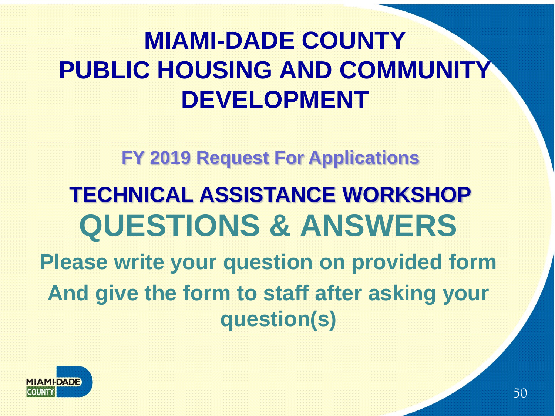#### **MIAMI-DADE COUNTY PUBLIC HOUSING AND COMMUNITY DEVELOPMENT**

**FY 2019 Request For Applications**

### **QUESTIONS & ANSWERS TECHNICAL ASSISTANCE WORKSHOP**

**Please write your question on provided form And give the form to staff after asking your question(s)**